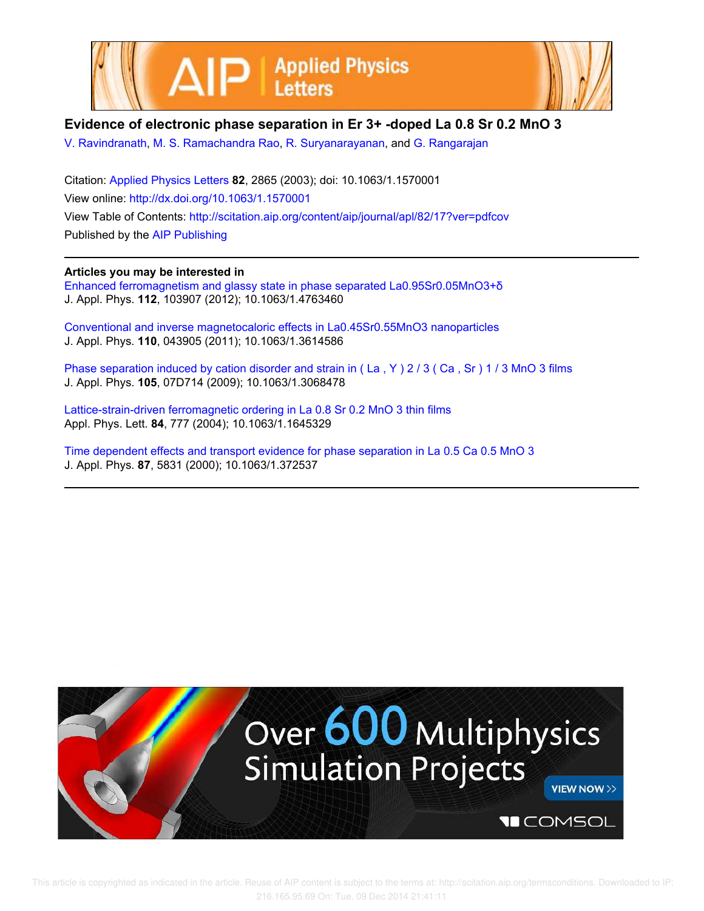



## **Evidence of electronic phase separation in Er 3+ -doped La 0.8 Sr 0.2 MnO 3**

V. Ravindranath, M. S. Ramachandra Rao, R. Suryanarayanan, and G. Rangarajan

Citation: Applied Physics Letters **82**, 2865 (2003); doi: 10.1063/1.1570001 View online: http://dx.doi.org/10.1063/1.1570001 View Table of Contents: http://scitation.aip.org/content/aip/journal/apl/82/17?ver=pdfcov Published by the AIP Publishing

## **Articles you may be interested in**

Enhanced ferromagnetism and glassy state in phase separated La0.95Sr0.05MnO3+δ J. Appl. Phys. **112**, 103907 (2012); 10.1063/1.4763460

Conventional and inverse magnetocaloric effects in La0.45Sr0.55MnO3 nanoparticles J. Appl. Phys. **110**, 043905 (2011); 10.1063/1.3614586

Phase separation induced by cation disorder and strain in (La, Y) 2/3 (Ca, Sr) 1/3 MnO 3 films J. Appl. Phys. **105**, 07D714 (2009); 10.1063/1.3068478

Lattice-strain-driven ferromagnetic ordering in La 0.8 Sr 0.2 MnO 3 thin films Appl. Phys. Lett. **84**, 777 (2004); 10.1063/1.1645329

Time dependent effects and transport evidence for phase separation in La 0.5 Ca 0.5 MnO 3 J. Appl. Phys. **87**, 5831 (2000); 10.1063/1.372537

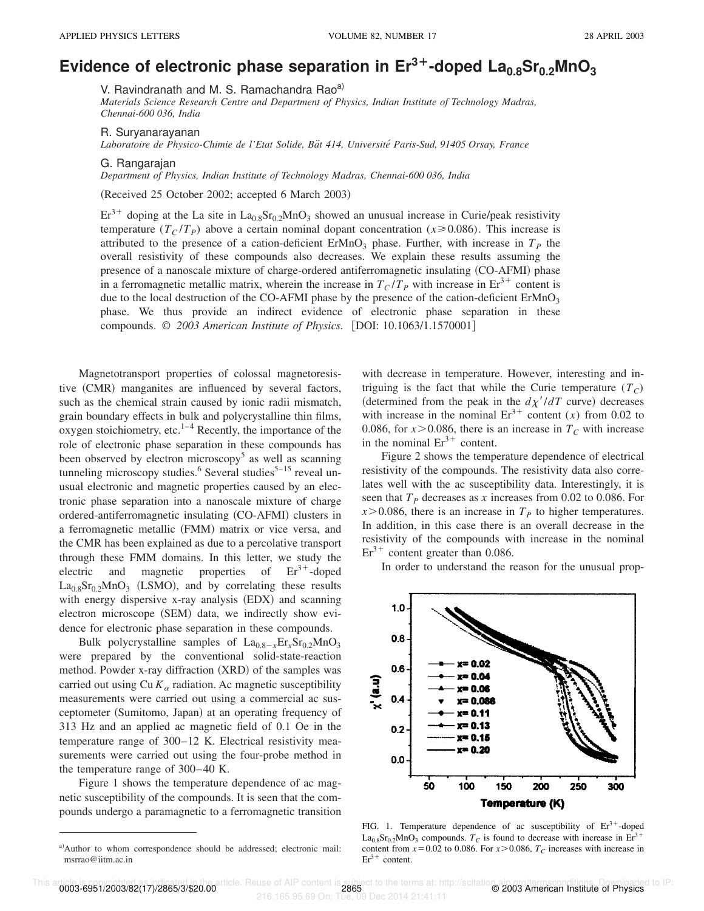## Evidence of electronic phase separation in  $Er^{3+}$ -doped  $La_{0.8}Sr_{0.2}MnO_3$

V. Ravindranath and M. S. Ramachandra Rao<sup>a)</sup>

*Materials Science Research Centre and Department of Physics, Indian Institute of Technology Madras, Chennai-600 036, India*

R. Suryanarayanan

*Laboratoire de Physico-Chimie de l'Etat Solide, Ba¨t 414, Universite´ Paris-Sud, 91405 Orsay, France*

## G. Rangarajan

*Department of Physics, Indian Institute of Technology Madras, Chennai-600 036, India*

(Received 25 October 2002; accepted 6 March 2003)

 $Er^{3+}$  doping at the La site in  $La_{0.8}Sr_{0.2}MnO_3$  showed an unusual increase in Curie/peak resistivity temperature  $(T_C/T_P)$  above a certain nominal dopant concentration ( $x \ge 0.086$ ). This increase is attributed to the presence of a cation-deficient  $ErMnO<sub>3</sub>$  phase. Further, with increase in  $T<sub>P</sub>$  the overall resistivity of these compounds also decreases. We explain these results assuming the presence of a nanoscale mixture of charge-ordered antiferromagnetic insulating (CO-AFMI) phase in a ferromagnetic metallic matrix, wherein the increase in  $T_C/T_P$  with increase in  $\text{Er}^{3+}$  content is due to the local destruction of the CO-AFMI phase by the presence of the cation-deficient  $ErMnO<sub>3</sub>$ phase. We thus provide an indirect evidence of electronic phase separation in these compounds. © 2003 American Institute of Physics. [DOI: 10.1063/1.1570001]

Magnetotransport properties of colossal magnetoresistive (CMR) manganites are influenced by several factors, such as the chemical strain caused by ionic radii mismatch, grain boundary effects in bulk and polycrystalline thin films, oxygen stoichiometry, etc. $1-4$  Recently, the importance of the role of electronic phase separation in these compounds has been observed by electron microscopy<sup>5</sup> as well as scanning tunneling microscopy studies.<sup>6</sup> Several studies<sup>5–15</sup> reveal unusual electronic and magnetic properties caused by an electronic phase separation into a nanoscale mixture of charge ordered-antiferromagnetic insulating (CO-AFMI) clusters in a ferromagnetic metallic (FMM) matrix or vice versa, and the CMR has been explained as due to a percolative transport through these FMM domains. In this letter, we study the electric and magnetic properties of  $Er^{3+}$ -doped  $La<sub>0.8</sub>Sr<sub>0.2</sub>MnO<sub>3</sub>$  (LSMO), and by correlating these results with energy dispersive  $x$ -ray analysis  $(EDX)$  and scanning electron microscope (SEM) data, we indirectly show evidence for electronic phase separation in these compounds.

Bulk polycrystalline samples of  $La_{0.8-x}Er_{x}Sr_{0.2}MnO_3$ were prepared by the conventional solid-state-reaction method. Powder  $x$ -ray diffraction  $(XRD)$  of the samples was carried out using  $Cu K_{\alpha}$  radiation. Ac magnetic susceptibility measurements were carried out using a commercial ac susceptometer (Sumitomo, Japan) at an operating frequency of 313 Hz and an applied ac magnetic field of 0.1 Oe in the temperature range of 300–12 K. Electrical resistivity measurements were carried out using the four-probe method in the temperature range of 300–40 K.

Figure 1 shows the temperature dependence of ac magnetic susceptibility of the compounds. It is seen that the compounds undergo a paramagnetic to a ferromagnetic transition with decrease in temperature. However, interesting and intriguing is the fact that while the Curie temperature  $(T_C)$ (determined from the peak in the  $d\chi'/dT$  curve) decreases with increase in the nominal  $Er^{3+}$  content (*x*) from 0.02 to 0.086, for  $x > 0.086$ , there is an increase in  $T_c$  with increase in the nominal  $Er^{3+}$  content.

Figure 2 shows the temperature dependence of electrical resistivity of the compounds. The resistivity data also correlates well with the ac susceptibility data. Interestingly, it is seen that  $T_p$  decreases as *x* increases from 0.02 to 0.086. For  $x > 0.086$ , there is an increase in  $T<sub>P</sub>$  to higher temperatures. In addition, in this case there is an overall decrease in the resistivity of the compounds with increase in the nominal  $Er<sup>3+</sup>$  content greater than 0.086.

In order to understand the reason for the unusual prop-



FIG. 1. Temperature dependence of ac susceptibility of  $Er<sup>3+</sup>$ -doped  $La_{0.8}Sr_{0.2}MnO_3$  compounds.  $T_C$  is found to decrease with increase in Er<sup>3+</sup> content from  $x=0.02$  to 0.086. For  $x > 0.086$ ,  $T_c$  increases with increase in  $Er<sup>3+</sup> content.$ 

rticle. <mark>1999 - 1999 - 1999 - 1999 - 1999 - 1999 - 1999 - 1999 - 1999 - 1999 - 1999 - 1999 - 1999 - 1999 - 1999</mark><br>216.165.95.69 On: Tue, 09 Dec 2014 21:41:11 216.165.95.69 On: Tue

a)Author to whom correspondence should be addressed; electronic mail: msrrao@iitm.ac.in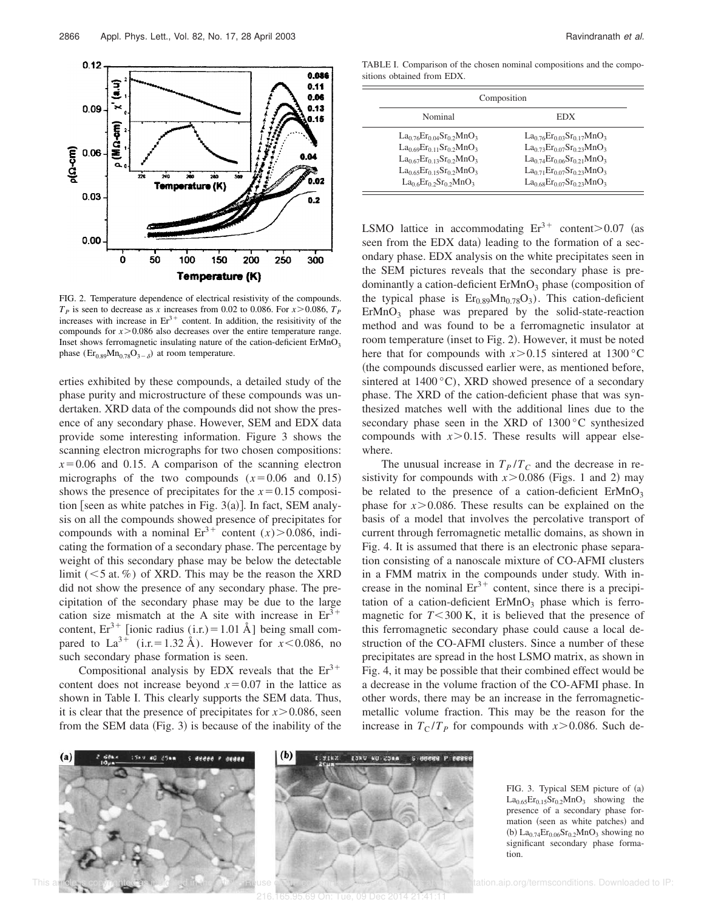FIG. 2. Temperature dependence of electrical resistivity of the compounds.  $T_p$  is seen to decrease as *x* increases from 0.02 to 0.086. For  $x > 0.086$ ,  $T_p$ increases with increase in  $Er<sup>3+</sup>$  content. In addition, the resisitivity of the compounds for  $x > 0.086$  also decreases over the entire temperature range. Inset shows ferromagnetic insulating nature of the cation-deficient  $ErMnO<sub>3</sub>$ phase  $(\text{Er}_{0.89} \text{Mn}_{0.78} \text{O}_{3-\delta})$  at room temperature.

erties exhibited by these compounds, a detailed study of the phase purity and microstructure of these compounds was undertaken. XRD data of the compounds did not show the presence of any secondary phase. However, SEM and EDX data provide some interesting information. Figure 3 shows the scanning electron micrographs for two chosen compositions:  $x=0.06$  and 0.15. A comparison of the scanning electron micrographs of the two compounds  $(x=0.06$  and 0.15) shows the presence of precipitates for the  $x=0.15$  composition [seen as white patches in Fig.  $3(a)$ ]. In fact, SEM analysis on all the compounds showed presence of precipitates for compounds with a nominal  $Er^{3+}$  content  $(x) > 0.086$ , indicating the formation of a secondary phase. The percentage by weight of this secondary phase may be below the detectable limit  $(< 5$  at. %) of XRD. This may be the reason the XRD did not show the presence of any secondary phase. The precipitation of the secondary phase may be due to the large cation size mismatch at the A site with increase in  $Er^{3+}$ content,  $Er^{3+}$  [ionic radius (i.r.) = 1.01 Å] being small compared to La<sup>3+</sup> (i.r.=1.32 Å). However for *x*<0.086, no such secondary phase formation is seen.

Compositional analysis by EDX reveals that the  $Er<sup>3+</sup>$ content does not increase beyond  $x=0.07$  in the lattice as shown in Table I. This clearly supports the SEM data. Thus, it is clear that the presence of precipitates for  $x > 0.086$ , seen from the SEM data  $(Fig. 3)$  is because of the inability of the

TABLE I. Comparison of the chosen nominal compositions and the compositions obtained from EDX.

| Composition                                                                                                                                                                |                                                                                                                                                                                            |  |
|----------------------------------------------------------------------------------------------------------------------------------------------------------------------------|--------------------------------------------------------------------------------------------------------------------------------------------------------------------------------------------|--|
| Nominal                                                                                                                                                                    | EDX                                                                                                                                                                                        |  |
| $La_{0.76}Er_{0.04}Sr_{0.2}MnO_3$<br>$La_{0.69}Er_{0.11}Sr_{0.2}MnO_3$<br>$La_{0.67}Er_{0.13}Sr_{0.2}MnO_3$<br>$La_{0.65}Er_{0.15}Sr_{0.2}MnO_3$<br>$La_0eEr_02Sr_02MnO_3$ | $La_{0.76}Er_{0.03}Sr_{0.17}MnO_3$<br>$La_{0.73}Er_{0.07}Sr_{0.23}MnO_3$<br>$La_{0.74}Er_{0.06}Sr_{0.21}MnO_3$<br>$La_{0.71}Er_{0.07}Sr_{0.23}MnO_3$<br>$La_{0.68}Er_{0.07}Sr_{0.23}MnO_3$ |  |

LSMO lattice in accommodating  $Er^{3+}$  content.  $> 0.07$  (as seen from the EDX data) leading to the formation of a secondary phase. EDX analysis on the white precipitates seen in the SEM pictures reveals that the secondary phase is predominantly a cation-deficient  $ErMnO<sub>3</sub>$  phase (composition of the typical phase is  $Er_{0.89}Mn_{0.78}O_3$ . This cation-deficient  $ErMnO<sub>3</sub>$  phase was prepared by the solid-state-reaction method and was found to be a ferromagnetic insulator at room temperature (inset to Fig. 2). However, it must be noted here that for compounds with  $x > 0.15$  sintered at 1300 °C (the compounds discussed earlier were, as mentioned before, sintered at  $1400^{\circ}$ C), XRD showed presence of a secondary phase. The XRD of the cation-deficient phase that was synthesized matches well with the additional lines due to the secondary phase seen in the XRD of 1300 °C synthesized compounds with  $x > 0.15$ . These results will appear elsewhere.

The unusual increase in  $T_P/T_C$  and the decrease in resistivity for compounds with  $x > 0.086$  (Figs. 1 and 2) may be related to the presence of a cation-deficient  $ErMnO<sub>3</sub>$ phase for  $x > 0.086$ . These results can be explained on the basis of a model that involves the percolative transport of current through ferromagnetic metallic domains, as shown in Fig. 4. It is assumed that there is an electronic phase separation consisting of a nanoscale mixture of CO-AFMI clusters in a FMM matrix in the compounds under study. With increase in the nominal  $Er^{3+}$  content, since there is a precipitation of a cation-deficient  $ErMnO<sub>3</sub>$  phase which is ferromagnetic for  $T < 300$  K, it is believed that the presence of this ferromagnetic secondary phase could cause a local destruction of the CO-AFMI clusters. Since a number of these precipitates are spread in the host LSMO matrix, as shown in Fig. 4, it may be possible that their combined effect would be a decrease in the volume fraction of the CO-AFMI phase. In other words, there may be an increase in the ferromagneticmetallic volume fraction. This may be the reason for the increase in  $T_C/T_P$  for compounds with  $x > 0.086$ . Such de-







FIG. 3. Typical SEM picture of (a)  $La<sub>0.65</sub>Er<sub>0.15</sub>Sr<sub>0.2</sub>MnO<sub>3</sub>$  showing the presence of a secondary phase formation (seen as white patches) and (b)  $La<sub>0.74</sub>Er<sub>0.06</sub>Sr<sub>0.2</sub>MnO<sub>3</sub> showing no$ significant secondary phase formation.